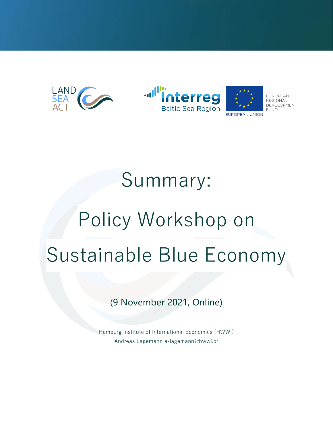



## Summary: Policy Workshop on Sustainable Blue Economy

(9 November 2021, Online)

Hamburg Institute of International Economics (HWWI) Andreas Lagemann a-lagemann@hwwi.or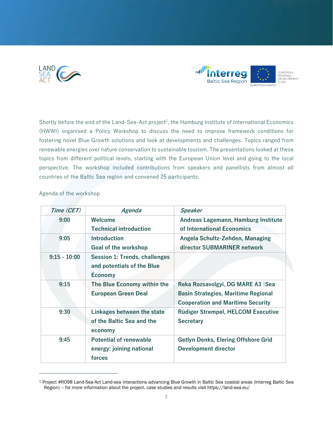



Shortly before the end of the Land-Sea-Act project<sup>1</sup>, the Hamburg Institute of International Economics (HWWI) organised a Policy Workshop to discuss the need to improve framework conditions for fostering novel Blue Growth solutions and look at developments and challenges. Topics ranged from renewable energies over nature conservation to sustainable tourism. The presentations looked at these topics from different political levels, starting with the European Union level and going to the local perspective. The workshop included contributions from speakers and panellists from almost all countries of the Baltic Sea region and convened 25 participants.

| Time (CET)     | Agenda                               | Speaker                                    |
|----------------|--------------------------------------|--------------------------------------------|
| 9:00           | Welcome                              | Andreas Lagemann, Hamburg Institute        |
|                | <b>Technical introduction</b>        | of International Economics                 |
| 9:05           | <b>Introduction</b>                  | Angela Schultz-Zehden, Managing            |
|                | Goal of the workshop                 | director SUBMARINER network                |
| $9:15 - 10:00$ | <b>Session 1: Trends, challenges</b> |                                            |
|                | and potentials of the Blue           |                                            |
|                | <b>Economy</b>                       |                                            |
| 9:15           | The Blue Economy within the          | Reka Rozsavolgyi, DG MARE A3   Sea         |
|                | <b>European Green Deal</b>           | <b>Basin Strategies, Maritime Regional</b> |
|                |                                      | <b>Cooperation and Maritime Security</b>   |
| 9:30           | Linkages between the state           | <b>Rüdiger Strempel, HELCOM Executive</b>  |
|                | of the Baltic Sea and the            | <b>Secretary</b>                           |
|                | economy                              |                                            |
| 9:45           | <b>Potential of renewable</b>        | Getlyn Denks, Elering Offshore Grid        |
|                | energy: joining national             | <b>Development director</b>                |
|                | forces                               |                                            |

## Agenda of the workshop

<sup>1</sup> Project #R098 Land-Sea-Act Land-sea interactions advancing Blue Growth in Baltic Sea coastal areas (Interreg Baltic Sea Region) – for more information about the project, case studies and results visit https://land-sea.eu/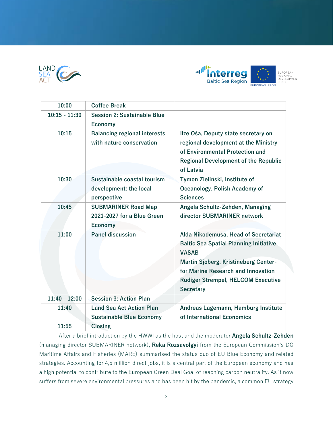



| <b>Coffee Break</b>                 |                                               |
|-------------------------------------|-----------------------------------------------|
| <b>Session 2: Sustainable Blue</b>  |                                               |
| <b>Economy</b>                      |                                               |
| <b>Balancing regional interests</b> | Ilze Oša, Deputy state secretary on           |
| with nature conservation            | regional development at the Ministry          |
|                                     | of Environmental Protection and               |
|                                     | <b>Regional Development of the Republic</b>   |
|                                     | of Latvia                                     |
| Sustainable coastal tourism         | Tymon Zieliński, Institute of                 |
| development: the local              | Oceanology, Polish Academy of                 |
| perspective                         | <b>Sciences</b>                               |
| <b>SUBMARINER Road Map</b>          | Angela Schultz-Zehden, Managing               |
| 2021-2027 for a Blue Green          | director SUBMARINER network                   |
| <b>Economy</b>                      |                                               |
| <b>Panel discussion</b>             | Alda Nikodemusa, Head of Secretariat          |
|                                     | <b>Baltic Sea Spatial Planning Initiative</b> |
|                                     | <b>VASAB</b>                                  |
|                                     | Martin Sjöberg, Kristineberg Center-          |
|                                     | for Marine Research and Innovation            |
|                                     | Rüdiger Strempel, HELCOM Executive            |
|                                     | <b>Secretary</b>                              |
| <b>Session 3: Action Plan</b>       |                                               |
| <b>Land Sea Act Action Plan</b>     | Andreas Lagemann, Hamburg Institute           |
| <b>Sustainable Blue Economy</b>     | of International Economics                    |
| <b>Closing</b>                      |                                               |
|                                     |                                               |

After a brief introduction by the HWWI as the host and the moderator **Angela Schultz-Zehden** (managing director SUBMARINER network), **Reka Rozsavolgyi** from the European Commission's DG Maritime Affairs and Fisheries (MARE) summarised the status quo of EU Blue Economy and related strategies. Accounting for 4,5 million direct jobs, it is a central part of the European economy and has a high potential to contribute to the European Green Deal Goal of reaching carbon neutrality. As it now suffers from severe environmental pressures and has been hit by the pandemic, a common EU strategy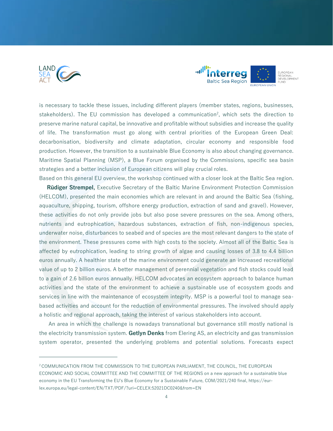



is necessary to tackle these issues, including different players (member states, regions, businesses, stakeholders). The EU commission has developed a communication<sup>2</sup>, which sets the direction to preserve marine natural capital, be innovative and profitable without subsidies and increase the quality of life. The transformation must go along with central priorities of the European Green Deal: decarbonisation, biodiversity and climate adaptation, circular economy and responsible food production. However, the transition to a sustainable Blue Economy is also about changing governance. Maritime Spatial Planning (MSP), a Blue Forum organised by the Commissions, specific sea basin strategies and a better inclusion of European citizens will play crucial roles.

Based on this general EU overview, the workshop continued with a closer look at the Baltic Sea region. **Rüdiger Strempel,** Executive Secretary of the Baltic Marine Environment Protection Commission (HELCOM), presented the main economies which are relevant in and around the Baltic Sea (fishing, aquaculture, shipping, tourism, offshore energy production, extraction of sand and gravel). However, these activities do not only provide jobs but also pose severe pressures on the sea. Among others, nutrients and eutrophication, hazardous substances, extraction of fish, non-indigenous species, underwater noise, disturbances to seabed and of species are the most relevant dangers to the state of the environment. These pressures come with high costs to the society. Almost all of the Baltic Sea is affected by eutrophication, leading to string growth of algae and causing losses of 3.8 to 4.4 billion euros annually. A healthier state of the marine environment could generate an increased recreational value of up to 2 billion euros. A better management of perennial vegetation and fish stocks could lead to a gain of 2.6 billion euros annually. HELCOM advocates an ecosystem approach to balance human activities and the state of the environment to achieve a sustainable use of ecosystem goods and services in line with the maintenance of ecosystem integrity. MSP is a powerful tool to manage seabased activities and account for the reduction of environmental pressures. The involved should apply a holistic and regional approach, taking the interest of various stakeholders into account.

 An area in which the challenge is nowadays transnational but governance still mostly national is the electricity transmission system. **Getlyn Denks** from Elering AS, an electricity and gas transmission system operator, presented the underlying problems and potential solutions. Forecasts expect

<sup>2</sup> COMMUNICATION FROM THE COMMISSION TO THE EUROPEAN PARLIAMENT, THE COUNCIL, THE EUROPEAN ECONOMIC AND SOCIAL COMMITTEE AND THE COMMITTEE OF THE REGIONS on a new approach for a sustainable blue economy in the EU Transforming the EU's Blue Economy for a Sustainable Future, COM/2021/240 final, [https://eur](https://eur-lex.europa.eu/legal-content/EN/TXT/PDF/?uri=CELEX:52021DC0240&from=EN)[lex.europa.eu/legal-content/EN/TXT/PDF/?uri=CELEX:52021DC0240&from=EN](https://eur-lex.europa.eu/legal-content/EN/TXT/PDF/?uri=CELEX:52021DC0240&from=EN)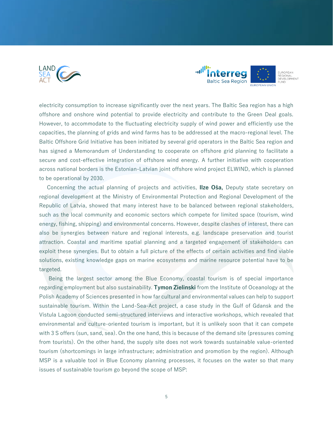



electricity consumption to increase significantly over the next years. The Baltic Sea region has a high offshore and onshore wind potential to provide electricity and contribute to the Green Deal goals. However, to accommodate to the fluctuating electricity supply of wind power and efficiently use the capacities, the planning of grids and wind farms has to be addressed at the macro-regional level. The Baltic Offshore Grid Initiative has been initiated by several grid operators in the Baltic Sea region and has signed a Memorandum of Understanding to cooperate on offshore grid planning to facilitate a secure and cost-effective integration of offshore wind energy. A further initiative with cooperation across national borders is the Estonian-Latvian joint offshore wind project ELWIND, which is planned to be operational by 2030.

 Concerning the actual planning of projects and activities, **Ilze Oša,** Deputy state secretary on regional development at the Ministry of Environmental Protection and Regional Development of the Republic of Latvia, showed that many interest have to be balanced between regional stakeholders, such as the local community and economic sectors which compete for limited space (tourism, wind energy, fishing, shipping) and environmental concerns. However, despite clashes of interest, there can also be synergies between nature and regional interests, e.g. landscape preservation and tourist attraction. Coastal and maritime spatial planning and a targeted engagement of stakeholders can exploit these synergies. But to obtain a full picture of the effects of certain activities and find viable solutions, existing knowledge gaps on marine ecosystems and marine resource potential have to be targeted.

 Being the largest sector among the Blue Economy, coastal tourism is of special importance regarding employment but also sustainability. **Tymon Zielinski** from the Institute of Oceanology at the Polish Academy of Sciences presented in how far cultural and environmental values can help to support sustainable tourism. Within the Land-Sea-Act project, a case study in the Gulf of Gdansk and the Vistula Lagoon conducted semi-structured interviews and interactive workshops, which revealed that environmental and culture-oriented tourism is important, but it is unlikely soon that it can compete with 3 S offers (sun, sand, sea). On the one hand, this is because of the demand site (pressures coming from tourists). On the other hand, the supply site does not work towards sustainable value-oriented tourism (shortcomings in large infrastructure; administration and promotion by the region). Although MSP is a valuable tool in Blue Economy planning processes, it focuses on the water so that many issues of sustainable tourism go beyond the scope of MSP: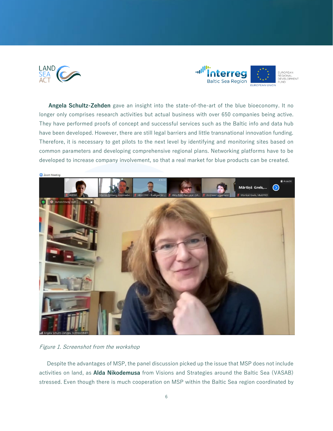



 **Angela Schultz-Zehden** gave an insight into the state-of-the-art of the blue bioeconomy. It no longer only comprises research activities but actual business with over 650 companies being active. They have performed proofs of concept and successful services such as the Baltic info and data hub have been developed. However, there are still legal barriers and little transnational innovation funding. Therefore, it is necessary to get pilots to the next level by identifying and monitoring sites based on common parameters and developing comprehensive regional plans. Networking platforms have to be developed to increase company involvement, so that a real market for blue products can be created.



Figure 1. Screenshot from the workshop

 Despite the advantages of MSP, the panel discussion picked up the issue that MSP does not include activities on land, as **Alda Nikodemusa** from Visions and Strategies around the Baltic Sea (VASAB) stressed. Even though there is much cooperation on MSP within the Baltic Sea region coordinated by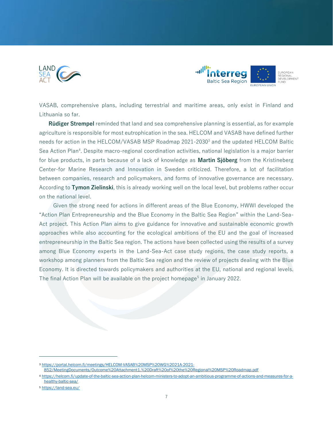



VASAB, comprehensive plans, including terrestrial and maritime areas, only exist in Finland and Lithuania so far.

 **Rüdiger Strempel** reminded that land and sea comprehensive planning is essential, as for example agriculture is responsible for most eutrophication in the sea. HELCOM and VASAB have defined further needs for action in the HELCOM/VASAB MSP Roadmap 2021-2030<sup>3</sup> and the updated HELCOM Baltic Sea Action Plan<sup>4</sup>. Despite macro-regional coordination activities, national legislation is a major barrier for blue products, in parts because of a lack of knowledge as **Martin Sjöberg** from the Kristineberg Center-for Marine Research and Innovation in Sweden criticized. Therefore, a lot of facilitation between companies, research and policymakers, and forms of innovative governance are necessary. According to **Tymon Zielinski**, this is already working well on the local level, but problems rather occur on the national level.

 Given the strong need for actions in different areas of the Blue Economy, HWWI developed the "Action Plan Entrepreneurship and the Blue Economy in the Baltic Sea Region" within the Land-Sea-Act project. This Action Plan aims to give guidance for innovative and sustainable economic growth approaches while also accounting for the ecological ambitions of the EU and the goal of increased entrepreneurship in the Baltic Sea region. The actions have been collected using the results of a survey among Blue Economy experts in the Land-Sea-Act case study regions, the case study reports, a workshop among planners from the Baltic Sea region and the review of projects dealing with the Blue Economy. It is directed towards policymakers and authorities at the EU, national and regional levels. The final Action Plan will be available on the project homepage<sup>5</sup> in January 2022.

<sup>3</sup> [https://portal.helcom.fi/meetings/HELCOM-VASAB%20MSP%20WG%2021A-2021-](https://portal.helcom.fi/meetings/HELCOM-VASAB%20MSP%20WG%2021A-2021-852/MeetingDocuments/Outcome%20Attachment1.%20Draft%20of%20the%20Regional%20MSP%20Roadmap.pdf)

[<sup>852/</sup>MeetingDocuments/Outcome%20Attachment1.%20Draft%20of%20the%20Regional%20MSP%20Roadmap.pdf](https://portal.helcom.fi/meetings/HELCOM-VASAB%20MSP%20WG%2021A-2021-852/MeetingDocuments/Outcome%20Attachment1.%20Draft%20of%20the%20Regional%20MSP%20Roadmap.pdf)

<sup>4</sup> [https://helcom.fi/update-of-the-baltic-sea-action-plan-helcom-ministers-to-adopt-an-ambitious-programme-of-actions-and-measures-for-a](https://helcom.fi/update-of-the-baltic-sea-action-plan-helcom-ministers-to-adopt-an-ambitious-programme-of-actions-and-measures-for-a-healthy-baltic-sea/)[healthy-baltic-sea/](https://helcom.fi/update-of-the-baltic-sea-action-plan-helcom-ministers-to-adopt-an-ambitious-programme-of-actions-and-measures-for-a-healthy-baltic-sea/)

<sup>5</sup> <https://land-sea.eu/>